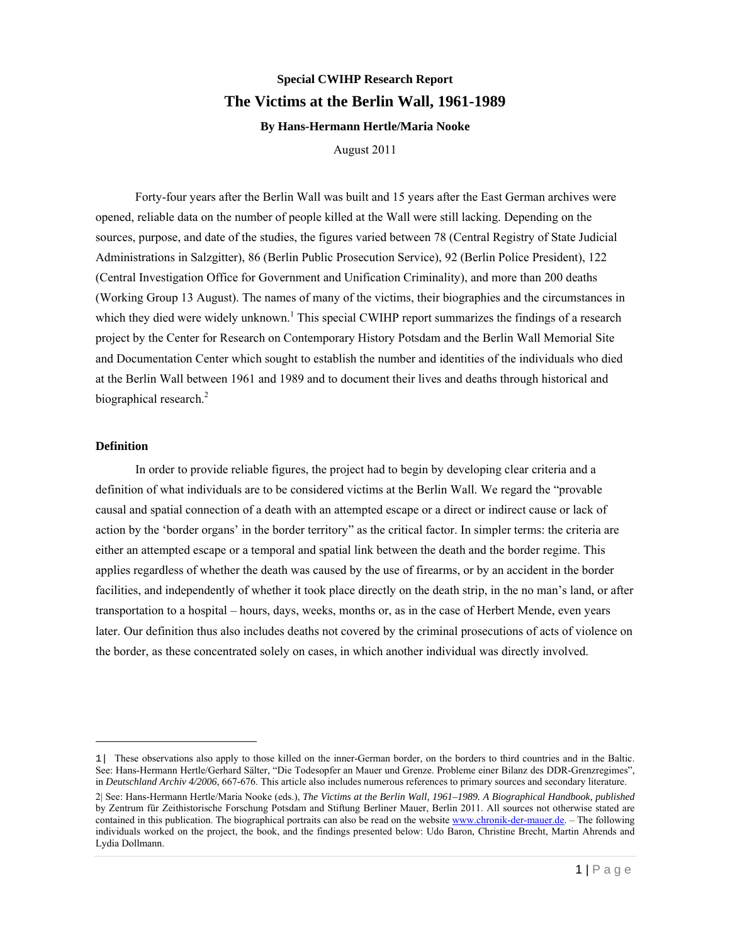# **Special CWIHP Research Report The Victims at the Berlin Wall, 1961-1989 By Hans-Hermann Hertle/Maria Nooke**

August 2011

Forty-four years after the Berlin Wall was built and 15 years after the East German archives were opened, reliable data on the number of people killed at the Wall were still lacking. Depending on the sources, purpose, and date of the studies, the figures varied between 78 (Central Registry of State Judicial Administrations in Salzgitter), 86 (Berlin Public Prosecution Service), 92 (Berlin Police President), 122 (Central Investigation Office for Government and Unification Criminality), and more than 200 deaths (Working Group 13 August). The names of many of the victims, their biographies and the circumstances in which they died were widely unknown.<sup>1</sup> This special CWIHP report summarizes the findings of a research project by the Center for Research on Contemporary History Potsdam and the Berlin Wall Memorial Site and Documentation Center which sought to establish the number and identities of the individuals who died at the Berlin Wall between 1961 and 1989 and to document their lives and deaths through historical and biographical research.<sup>2</sup>

#### **Definition**

l

In order to provide reliable figures, the project had to begin by developing clear criteria and a definition of what individuals are to be considered victims at the Berlin Wall. We regard the "provable causal and spatial connection of a death with an attempted escape or a direct or indirect cause or lack of action by the 'border organs' in the border territory" as the critical factor. In simpler terms: the criteria are either an attempted escape or a temporal and spatial link between the death and the border regime. This applies regardless of whether the death was caused by the use of firearms, or by an accident in the border facilities, and independently of whether it took place directly on the death strip, in the no man's land, or after transportation to a hospital – hours, days, weeks, months or, as in the case of Herbert Mende, even years later. Our definition thus also includes deaths not covered by the criminal prosecutions of acts of violence on the border, as these concentrated solely on cases, in which another individual was directly involved.

<sup>1|</sup> These observations also apply to those killed on the inner-German border, on the borders to third countries and in the Baltic. See: Hans-Hermann Hertle/Gerhard Sälter, "Die Todesopfer an Mauer und Grenze. Probleme einer Bilanz des DDR-Grenzregimes", in *Deutschland Archiv 4/2006*, 667-676. This article also includes numerous references to primary sources and secondary literature.

<sup>2|</sup> See: Hans-Hermann Hertle/Maria Nooke (eds.), *The Victims at the Berlin Wall, 1961–1989. A Biographical Handbook, published* by Zentrum für Zeithistorische Forschung Potsdam and Stiftung Berliner Mauer, Berlin 2011. All sources not otherwise stated are contained in this publication. The biographical portraits can also be read on the website www.chronik-der-mauer.de. - The following individuals worked on the project, the book, and the findings presented below: Udo Baron, Christine Brecht, Martin Ahrends and Lydia Dollmann.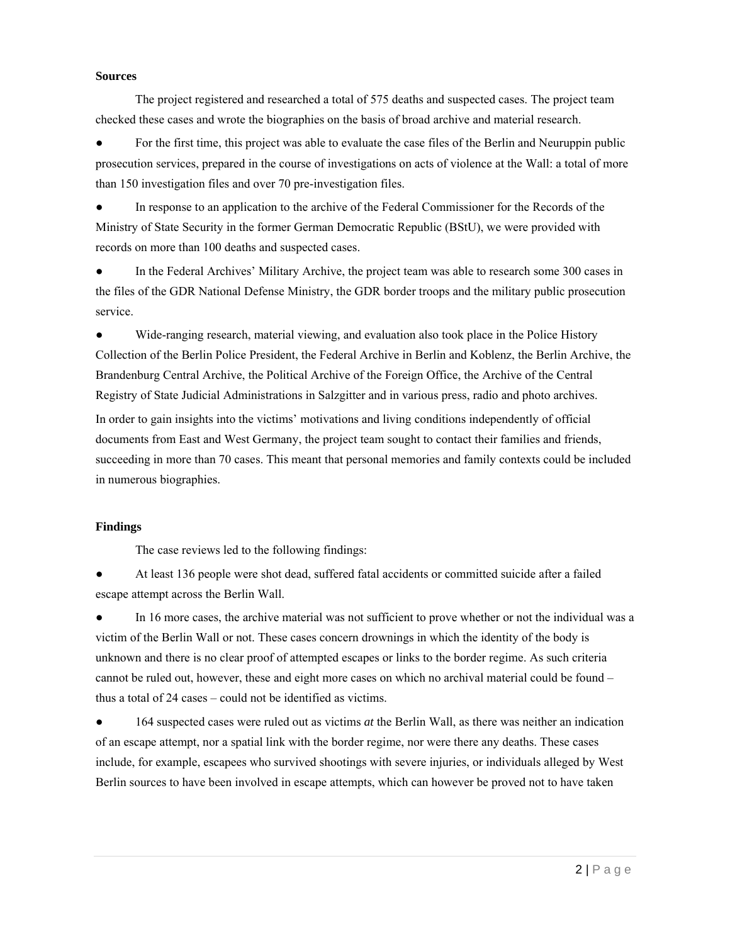#### **Sources**

The project registered and researched a total of 575 deaths and suspected cases. The project team checked these cases and wrote the biographies on the basis of broad archive and material research.

For the first time, this project was able to evaluate the case files of the Berlin and Neuruppin public prosecution services, prepared in the course of investigations on acts of violence at the Wall: a total of more than 150 investigation files and over 70 pre-investigation files.

● In response to an application to the archive of the Federal Commissioner for the Records of the Ministry of State Security in the former German Democratic Republic (BStU), we were provided with records on more than 100 deaths and suspected cases.

In the Federal Archives' Military Archive, the project team was able to research some 300 cases in the files of the GDR National Defense Ministry, the GDR border troops and the military public prosecution service.

● Wide-ranging research, material viewing, and evaluation also took place in the Police History Collection of the Berlin Police President, the Federal Archive in Berlin and Koblenz, the Berlin Archive, the Brandenburg Central Archive, the Political Archive of the Foreign Office, the Archive of the Central Registry of State Judicial Administrations in Salzgitter and in various press, radio and photo archives. In order to gain insights into the victims' motivations and living conditions independently of official documents from East and West Germany, the project team sought to contact their families and friends, succeeding in more than 70 cases. This meant that personal memories and family contexts could be included in numerous biographies.

# **Findings**

The case reviews led to the following findings:

At least 136 people were shot dead, suffered fatal accidents or committed suicide after a failed escape attempt across the Berlin Wall.

In 16 more cases, the archive material was not sufficient to prove whether or not the individual was a victim of the Berlin Wall or not. These cases concern drownings in which the identity of the body is unknown and there is no clear proof of attempted escapes or links to the border regime. As such criteria cannot be ruled out, however, these and eight more cases on which no archival material could be found – thus a total of 24 cases – could not be identified as victims.

164 suspected cases were ruled out as victims *at* the Berlin Wall, as there was neither an indication of an escape attempt, nor a spatial link with the border regime, nor were there any deaths. These cases include, for example, escapees who survived shootings with severe injuries, or individuals alleged by West Berlin sources to have been involved in escape attempts, which can however be proved not to have taken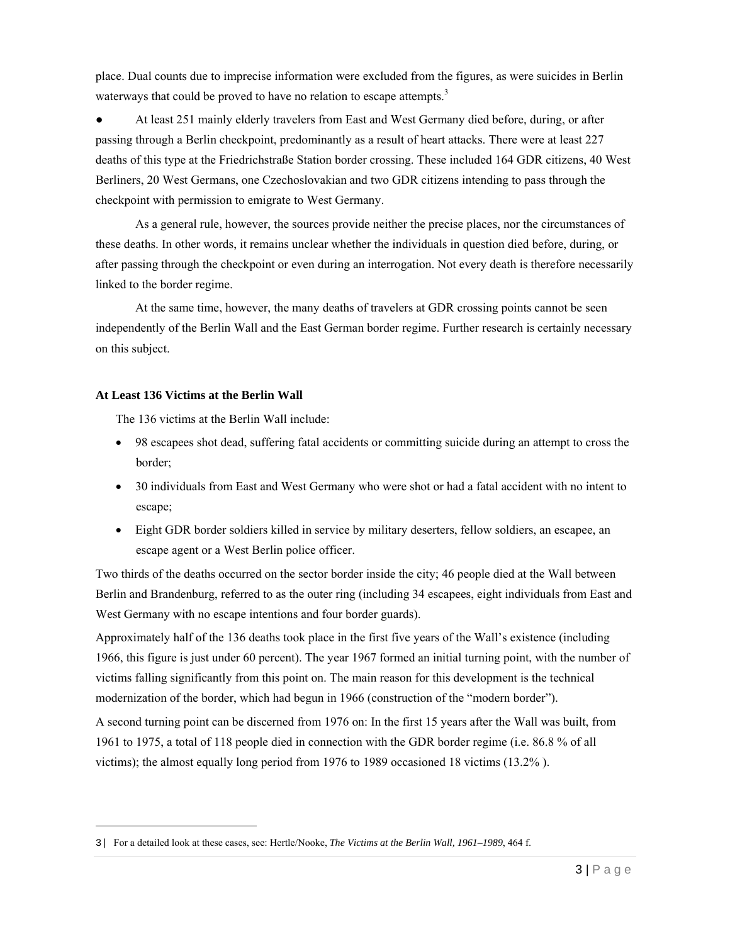place. Dual counts due to imprecise information were excluded from the figures, as were suicides in Berlin waterways that could be proved to have no relation to escape attempts. $3$ 

At least 251 mainly elderly travelers from East and West Germany died before, during, or after passing through a Berlin checkpoint, predominantly as a result of heart attacks. There were at least 227 deaths of this type at the Friedrichstraße Station border crossing. These included 164 GDR citizens, 40 West Berliners, 20 West Germans, one Czechoslovakian and two GDR citizens intending to pass through the checkpoint with permission to emigrate to West Germany.

 As a general rule, however, the sources provide neither the precise places, nor the circumstances of these deaths. In other words, it remains unclear whether the individuals in question died before, during, or after passing through the checkpoint or even during an interrogation. Not every death is therefore necessarily linked to the border regime.

 At the same time, however, the many deaths of travelers at GDR crossing points cannot be seen independently of the Berlin Wall and the East German border regime. Further research is certainly necessary on this subject.

## **At Least 136 Victims at the Berlin Wall**

 $\overline{a}$ 

The 136 victims at the Berlin Wall include:

- 98 escapees shot dead, suffering fatal accidents or committing suicide during an attempt to cross the border;
- 30 individuals from East and West Germany who were shot or had a fatal accident with no intent to escape;
- Eight GDR border soldiers killed in service by military deserters, fellow soldiers, an escapee, an escape agent or a West Berlin police officer.

Two thirds of the deaths occurred on the sector border inside the city; 46 people died at the Wall between Berlin and Brandenburg, referred to as the outer ring (including 34 escapees, eight individuals from East and West Germany with no escape intentions and four border guards).

Approximately half of the 136 deaths took place in the first five years of the Wall's existence (including 1966, this figure is just under 60 percent). The year 1967 formed an initial turning point, with the number of victims falling significantly from this point on. The main reason for this development is the technical modernization of the border, which had begun in 1966 (construction of the "modern border").

A second turning point can be discerned from 1976 on: In the first 15 years after the Wall was built, from 1961 to 1975, a total of 118 people died in connection with the GDR border regime (i.e. 86.8 % of all victims); the almost equally long period from 1976 to 1989 occasioned 18 victims (13.2% ).

<sup>3|</sup> For a detailed look at these cases, see: Hertle/Nooke, *The Victims at the Berlin Wall, 1961–1989*, 464 f.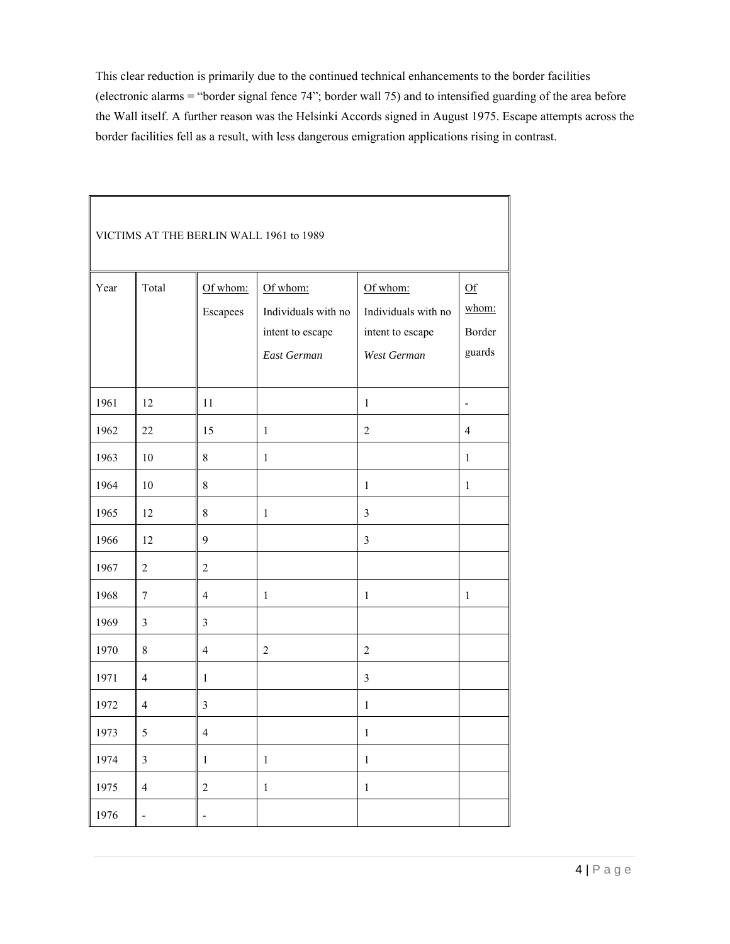This clear reduction is primarily due to the continued technical enhancements to the border facilities (electronic alarms = "border signal fence 74"; border wall 75) and to intensified guarding of the area before the Wall itself. A further reason was the Helsinki Accords signed in August 1975. Escape attempts across the border facilities fell as a result, with less dangerous emigration applications rising in contrast.

| VICTIMS AT THE BERLIN WALL 1961 to 1989 |                              |                          |                                                                    |                                                                    |                                 |  |
|-----------------------------------------|------------------------------|--------------------------|--------------------------------------------------------------------|--------------------------------------------------------------------|---------------------------------|--|
| Year                                    | Total                        | Of whom:<br>Escapees     | Of whom:<br>Individuals with no<br>intent to escape<br>East German | Of whom:<br>Individuals with no<br>intent to escape<br>West German | Qf<br>whom:<br>Border<br>guards |  |
| 1961                                    | 12                           | 11                       |                                                                    | $\mathbf{1}$                                                       | $\blacksquare$                  |  |
| 1962                                    | 22                           | 15                       | $\mathbf{1}$                                                       | $\overline{2}$                                                     | $\overline{4}$                  |  |
| 1963                                    | 10                           | $\,8\,$                  | $\mathbf{1}$                                                       |                                                                    | $\mathbf{1}$                    |  |
| 1964                                    | 10                           | $\,$ 8 $\,$              |                                                                    | $\mathbf{1}$                                                       | $\mathbf{1}$                    |  |
| 1965                                    | 12                           | $8\,$                    | $\mathbf{1}$                                                       | $\overline{3}$                                                     |                                 |  |
| 1966                                    | 12                           | 9                        |                                                                    | $\overline{3}$                                                     |                                 |  |
| 1967                                    | $\overline{2}$               | $\overline{2}$           |                                                                    |                                                                    |                                 |  |
| 1968                                    | $\boldsymbol{7}$             | $\overline{4}$           | $\mathbf{1}$                                                       | $\mathbf{1}$                                                       | $\mathbf{1}$                    |  |
| 1969                                    | $\overline{3}$               | $\mathfrak{Z}$           |                                                                    |                                                                    |                                 |  |
| 1970                                    | 8                            | $\overline{4}$           | $\overline{2}$                                                     | $\overline{2}$                                                     |                                 |  |
| 1971                                    | $\overline{4}$               | $\mathbf{1}$             |                                                                    | $\mathfrak{Z}$                                                     |                                 |  |
| 1972                                    | $\overline{4}$               | $\mathfrak{Z}$           |                                                                    | $\mathbf{1}$                                                       |                                 |  |
| 1973                                    | $\sqrt{5}$                   | $\overline{4}$           |                                                                    | $\,1$                                                              |                                 |  |
| 1974                                    | $\mathfrak{Z}$               | $\mathbf{1}$             | $\mathbf{1}$                                                       | $\mathbf{1}$                                                       |                                 |  |
| 1975                                    | $\overline{4}$               | $\overline{2}$           | $\mathbf{1}$                                                       | $\mathbf{1}$                                                       |                                 |  |
| 1976                                    | $\qquad \qquad \blacksquare$ | $\overline{\phantom{0}}$ |                                                                    |                                                                    |                                 |  |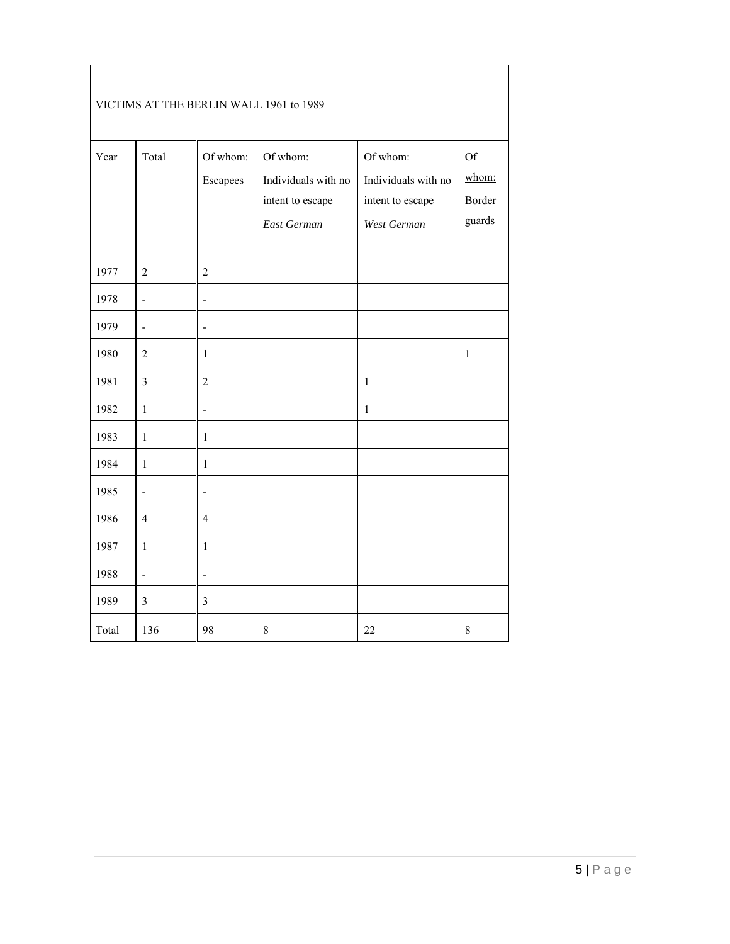| VICTIMS AT THE BERLIN WALL 1961 to 1989 |                          |                              |                                                                    |                                                                    |                                 |  |
|-----------------------------------------|--------------------------|------------------------------|--------------------------------------------------------------------|--------------------------------------------------------------------|---------------------------------|--|
| Year                                    | Total                    | Of whom:<br>Escapees         | Of whom:<br>Individuals with no<br>intent to escape<br>East German | Of whom:<br>Individuals with no<br>intent to escape<br>West German | Qf<br>whom:<br>Border<br>guards |  |
| 1977                                    | $\overline{2}$           | $\overline{2}$               |                                                                    |                                                                    |                                 |  |
| 1978                                    | $\overline{a}$           | $\qquad \qquad \blacksquare$ |                                                                    |                                                                    |                                 |  |
| 1979                                    | $\blacksquare$           | $\overline{a}$               |                                                                    |                                                                    |                                 |  |
| 1980                                    | $\overline{2}$           | $\mathbf{1}$                 |                                                                    |                                                                    | $\mathbf{1}$                    |  |
| 1981                                    | $\mathfrak{Z}$           | $\overline{2}$               |                                                                    | $\mathbf{1}$                                                       |                                 |  |
| 1982                                    | $\mathbf{1}$             | $\overline{a}$               |                                                                    | $\mathbf{1}$                                                       |                                 |  |
| 1983                                    | $\mathbf{1}$             | $\mathbf{1}$                 |                                                                    |                                                                    |                                 |  |
| 1984                                    | $\mathbf{1}$             | $\mathbf{1}$                 |                                                                    |                                                                    |                                 |  |
| 1985                                    | $\overline{\phantom{a}}$ | $\overline{a}$               |                                                                    |                                                                    |                                 |  |
| 1986                                    | $\overline{4}$           | $\overline{4}$               |                                                                    |                                                                    |                                 |  |
| 1987                                    | $\mathbf{1}$             | $\mathbf{1}$                 |                                                                    |                                                                    |                                 |  |
| 1988                                    | ÷,                       | ÷,                           |                                                                    |                                                                    |                                 |  |
| 1989                                    | $\overline{3}$           | $\overline{3}$               |                                                                    |                                                                    |                                 |  |
| Total                                   | 136                      | 98                           | 8                                                                  | 22                                                                 | $8\,$                           |  |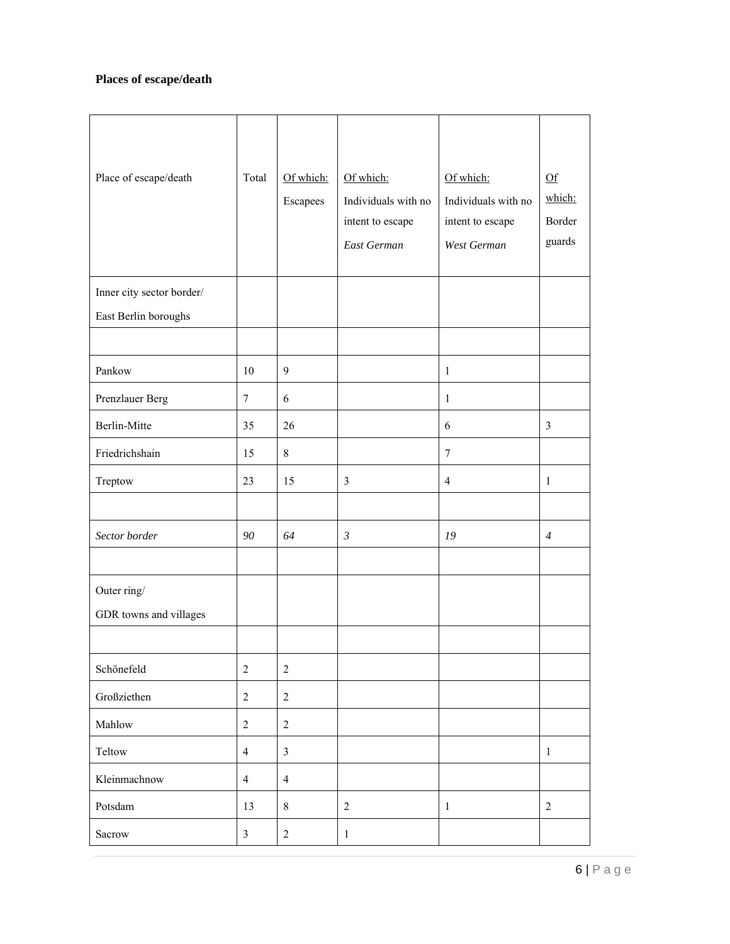# **Places of escape/death**

| Place of escape/death                             | Total          | Of which:<br>Escapees | Of which:<br>Individuals with no<br>intent to escape<br>East German | Of which:<br>Individuals with no<br>intent to escape<br>West German | Qf<br>which:<br>Border<br>guards |
|---------------------------------------------------|----------------|-----------------------|---------------------------------------------------------------------|---------------------------------------------------------------------|----------------------------------|
| Inner city sector border/<br>East Berlin boroughs |                |                       |                                                                     |                                                                     |                                  |
| Pankow                                            | 10             | $\mathbf{9}$          |                                                                     | $\mathbf{1}$                                                        |                                  |
| Prenzlauer Berg                                   | $\tau$         | 6                     |                                                                     | $\mathbf{1}$                                                        |                                  |
| <b>Berlin-Mitte</b>                               | 35             | 26                    |                                                                     | 6                                                                   | $\overline{3}$                   |
| Friedrichshain                                    | 15             | $8\,$                 |                                                                     | $\boldsymbol{7}$                                                    |                                  |
| Treptow                                           | 23             | 15                    | $\overline{3}$                                                      | $\overline{4}$                                                      | $\mathbf{1}$                     |
|                                                   |                |                       |                                                                     |                                                                     |                                  |
| Sector border                                     | 90             | 64                    | $\mathfrak{Z}$                                                      | 19                                                                  | $\overline{4}$                   |
| Outer ring/<br>GDR towns and villages             |                |                       |                                                                     |                                                                     |                                  |
| Schönefeld                                        | $\sqrt{2}$     | $\sqrt{2}$            |                                                                     |                                                                     |                                  |
| Großziethen                                       | $\overline{2}$ | $\overline{2}$        |                                                                     |                                                                     |                                  |
| Mahlow                                            | $\sqrt{2}$     | $\overline{2}$        |                                                                     |                                                                     |                                  |
| Teltow                                            | $\overline{4}$ | $\overline{3}$        |                                                                     |                                                                     | $\mathbf{1}$                     |
| Kleinmachnow                                      | $\overline{4}$ | $\overline{4}$        |                                                                     |                                                                     |                                  |
| Potsdam                                           | 13             | $8\,$                 | $\overline{2}$                                                      | $\mathbf{1}$                                                        | $\sqrt{2}$                       |
| Sacrow                                            | $\overline{3}$ | $\overline{2}$        | $\mathbf{1}$                                                        |                                                                     |                                  |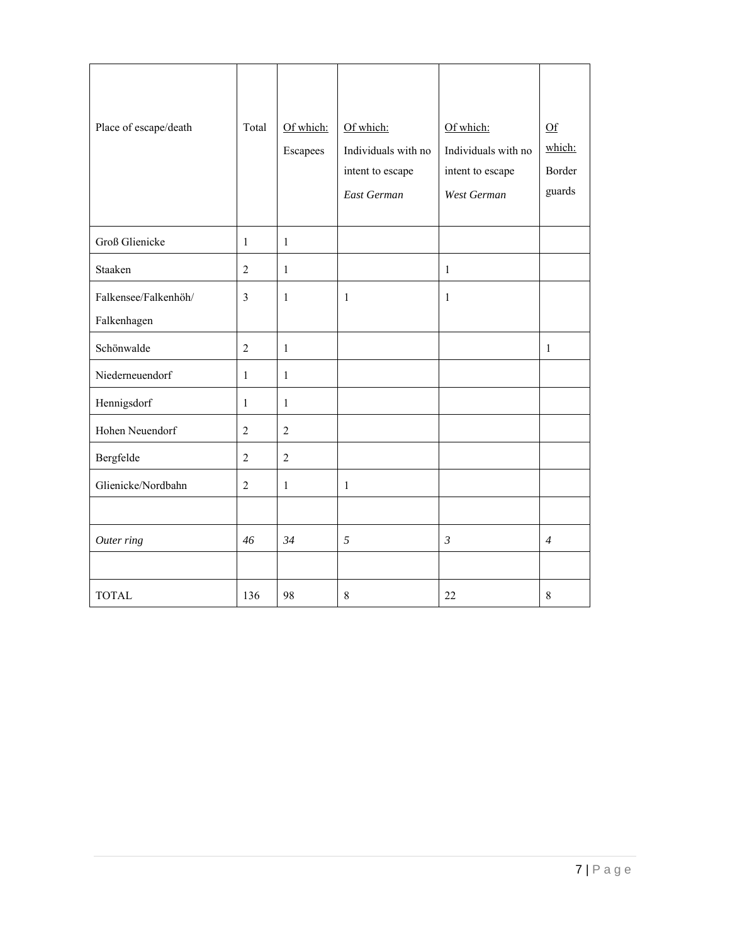| Place of escape/death               | Total          | Of which:<br>Escapees | Of which:<br>Individuals with no<br>intent to escape<br>East German | Of which:<br>Individuals with no<br>intent to escape<br>West German | Qf<br>which:<br>Border<br>guards |
|-------------------------------------|----------------|-----------------------|---------------------------------------------------------------------|---------------------------------------------------------------------|----------------------------------|
| Groß Glienicke                      | 1              | 1                     |                                                                     |                                                                     |                                  |
| Staaken                             | $\overline{2}$ | $\mathbf{1}$          |                                                                     | $\mathbf{1}$                                                        |                                  |
| Falkensee/Falkenhöh/<br>Falkenhagen | $\overline{3}$ | $\mathbf{1}$          | 1                                                                   | 1                                                                   |                                  |
| Schönwalde                          | $\overline{2}$ | $\mathbf{1}$          |                                                                     |                                                                     | 1                                |
| Niederneuendorf                     | $\mathbf{1}$   | $\mathbf{1}$          |                                                                     |                                                                     |                                  |
| Hennigsdorf                         | 1              | $\mathbf{1}$          |                                                                     |                                                                     |                                  |
| Hohen Neuendorf                     | $\overline{2}$ | $\overline{2}$        |                                                                     |                                                                     |                                  |
| Bergfelde                           | $\overline{2}$ | $\overline{2}$        |                                                                     |                                                                     |                                  |
| Glienicke/Nordbahn                  | $\overline{2}$ | $\mathbf{1}$          | $\mathbf{1}$                                                        |                                                                     |                                  |
|                                     |                |                       |                                                                     |                                                                     |                                  |
| Outer ring                          | 46             | 34                    | 5                                                                   | $\mathfrak{Z}$                                                      | $\overline{4}$                   |
|                                     |                |                       |                                                                     |                                                                     |                                  |
| <b>TOTAL</b>                        | 136            | 98                    | 8                                                                   | 22                                                                  | 8                                |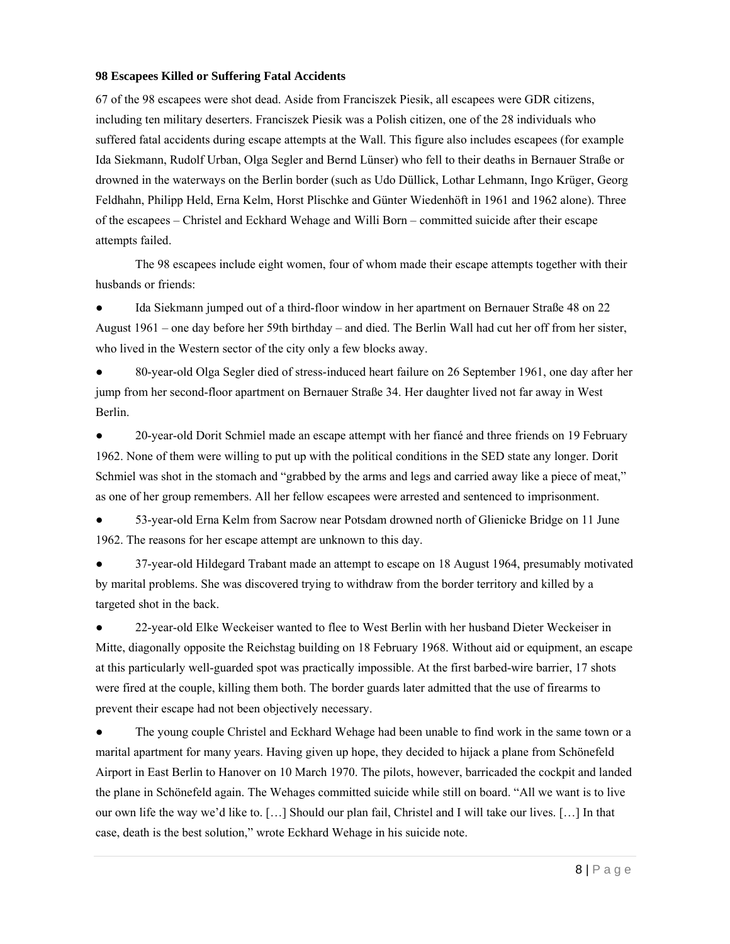## **98 Escapees Killed or Suffering Fatal Accidents**

67 of the 98 escapees were shot dead. Aside from Franciszek Piesik, all escapees were GDR citizens, including ten military deserters. Franciszek Piesik was a Polish citizen, one of the 28 individuals who suffered fatal accidents during escape attempts at the Wall. This figure also includes escapees (for example Ida Siekmann, Rudolf Urban, Olga Segler and Bernd Lünser) who fell to their deaths in Bernauer Straße or drowned in the waterways on the Berlin border (such as Udo Düllick, Lothar Lehmann, Ingo Krüger, Georg Feldhahn, Philipp Held, Erna Kelm, Horst Plischke and Günter Wiedenhöft in 1961 and 1962 alone). Three of the escapees – Christel and Eckhard Wehage and Willi Born – committed suicide after their escape attempts failed.

The 98 escapees include eight women, four of whom made their escape attempts together with their husbands or friends:

Ida Siekmann jumped out of a third-floor window in her apartment on Bernauer Straße 48 on 22 August 1961 – one day before her 59th birthday – and died. The Berlin Wall had cut her off from her sister, who lived in the Western sector of the city only a few blocks away.

● 80-year-old Olga Segler died of stress-induced heart failure on 26 September 1961, one day after her jump from her second-floor apartment on Bernauer Straße 34. Her daughter lived not far away in West Berlin.

• 20-year-old Dorit Schmiel made an escape attempt with her fiance and three friends on 19 February 1962. None of them were willing to put up with the political conditions in the SED state any longer. Dorit Schmiel was shot in the stomach and "grabbed by the arms and legs and carried away like a piece of meat," as one of her group remembers. All her fellow escapees were arrested and sentenced to imprisonment.

53-year-old Erna Kelm from Sacrow near Potsdam drowned north of Glienicke Bridge on 11 June 1962. The reasons for her escape attempt are unknown to this day.

● 37-year-old Hildegard Trabant made an attempt to escape on 18 August 1964, presumably motivated by marital problems. She was discovered trying to withdraw from the border territory and killed by a targeted shot in the back.

• 22-year-old Elke Weckeiser wanted to flee to West Berlin with her husband Dieter Weckeiser in Mitte, diagonally opposite the Reichstag building on 18 February 1968. Without aid or equipment, an escape at this particularly well-guarded spot was practically impossible. At the first barbed-wire barrier, 17 shots were fired at the couple, killing them both. The border guards later admitted that the use of firearms to prevent their escape had not been objectively necessary.

• The young couple Christel and Eckhard Wehage had been unable to find work in the same town or a marital apartment for many years. Having given up hope, they decided to hijack a plane from Schönefeld Airport in East Berlin to Hanover on 10 March 1970. The pilots, however, barricaded the cockpit and landed the plane in Schönefeld again. The Wehages committed suicide while still on board. "All we want is to live our own life the way we'd like to. […] Should our plan fail, Christel and I will take our lives. […] In that case, death is the best solution," wrote Eckhard Wehage in his suicide note.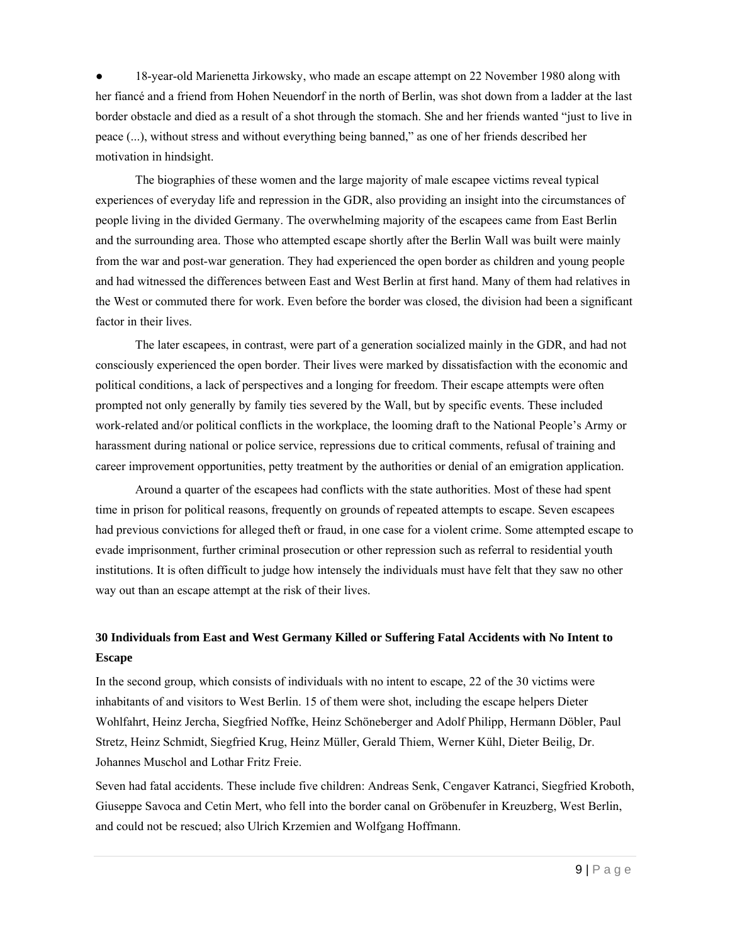18-year-old Marienetta Jirkowsky, who made an escape attempt on 22 November 1980 along with her fiancé and a friend from Hohen Neuendorf in the north of Berlin, was shot down from a ladder at the last border obstacle and died as a result of a shot through the stomach. She and her friends wanted "just to live in peace (...), without stress and without everything being banned," as one of her friends described her motivation in hindsight.

The biographies of these women and the large majority of male escapee victims reveal typical experiences of everyday life and repression in the GDR, also providing an insight into the circumstances of people living in the divided Germany. The overwhelming majority of the escapees came from East Berlin and the surrounding area. Those who attempted escape shortly after the Berlin Wall was built were mainly from the war and post-war generation. They had experienced the open border as children and young people and had witnessed the differences between East and West Berlin at first hand. Many of them had relatives in the West or commuted there for work. Even before the border was closed, the division had been a significant factor in their lives.

The later escapees, in contrast, were part of a generation socialized mainly in the GDR, and had not consciously experienced the open border. Their lives were marked by dissatisfaction with the economic and political conditions, a lack of perspectives and a longing for freedom. Their escape attempts were often prompted not only generally by family ties severed by the Wall, but by specific events. These included work-related and/or political conflicts in the workplace, the looming draft to the National People's Army or harassment during national or police service, repressions due to critical comments, refusal of training and career improvement opportunities, petty treatment by the authorities or denial of an emigration application.

Around a quarter of the escapees had conflicts with the state authorities. Most of these had spent time in prison for political reasons, frequently on grounds of repeated attempts to escape. Seven escapees had previous convictions for alleged theft or fraud, in one case for a violent crime. Some attempted escape to evade imprisonment, further criminal prosecution or other repression such as referral to residential youth institutions. It is often difficult to judge how intensely the individuals must have felt that they saw no other way out than an escape attempt at the risk of their lives.

# **30 Individuals from East and West Germany Killed or Suffering Fatal Accidents with No Intent to Escape**

In the second group, which consists of individuals with no intent to escape, 22 of the 30 victims were inhabitants of and visitors to West Berlin. 15 of them were shot, including the escape helpers Dieter Wohlfahrt, Heinz Jercha, Siegfried Noffke, Heinz Schöneberger and Adolf Philipp, Hermann Döbler, Paul Stretz, Heinz Schmidt, Siegfried Krug, Heinz Müller, Gerald Thiem, Werner Kühl, Dieter Beilig, Dr. Johannes Muschol and Lothar Fritz Freie.

Seven had fatal accidents. These include five children: Andreas Senk, Cengaver Katranci, Siegfried Kroboth, Giuseppe Savoca and Cetin Mert, who fell into the border canal on Gröbenufer in Kreuzberg, West Berlin, and could not be rescued; also Ulrich Krzemien and Wolfgang Hoffmann.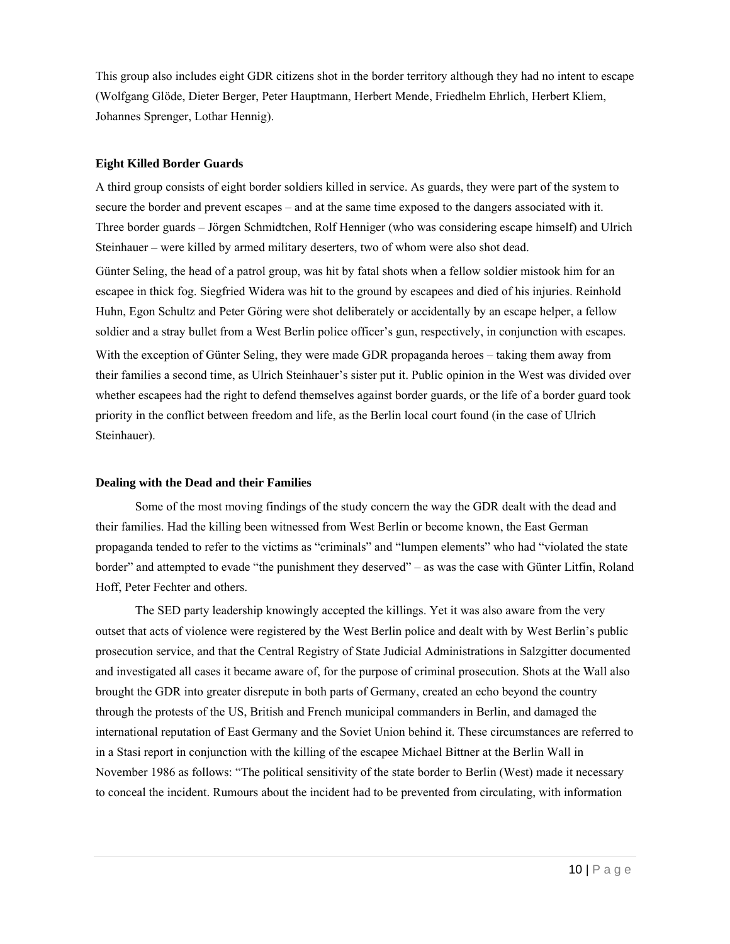This group also includes eight GDR citizens shot in the border territory although they had no intent to escape (Wolfgang Glöde, Dieter Berger, Peter Hauptmann, Herbert Mende, Friedhelm Ehrlich, Herbert Kliem, Johannes Sprenger, Lothar Hennig).

## **Eight Killed Border Guards**

A third group consists of eight border soldiers killed in service. As guards, they were part of the system to secure the border and prevent escapes – and at the same time exposed to the dangers associated with it. Three border guards – Jörgen Schmidtchen, Rolf Henniger (who was considering escape himself) and Ulrich Steinhauer – were killed by armed military deserters, two of whom were also shot dead.

Günter Seling, the head of a patrol group, was hit by fatal shots when a fellow soldier mistook him for an escapee in thick fog. Siegfried Widera was hit to the ground by escapees and died of his injuries. Reinhold Huhn, Egon Schultz and Peter Göring were shot deliberately or accidentally by an escape helper, a fellow soldier and a stray bullet from a West Berlin police officer's gun, respectively, in conjunction with escapes. With the exception of Günter Seling, they were made GDR propaganda heroes – taking them away from their families a second time, as Ulrich Steinhauer's sister put it. Public opinion in the West was divided over whether escapees had the right to defend themselves against border guards, or the life of a border guard took priority in the conflict between freedom and life, as the Berlin local court found (in the case of Ulrich Steinhauer).

#### **Dealing with the Dead and their Families**

Some of the most moving findings of the study concern the way the GDR dealt with the dead and their families. Had the killing been witnessed from West Berlin or become known, the East German propaganda tended to refer to the victims as "criminals" and "lumpen elements" who had "violated the state border" and attempted to evade "the punishment they deserved" – as was the case with Günter Litfin, Roland Hoff, Peter Fechter and others.

The SED party leadership knowingly accepted the killings. Yet it was also aware from the very outset that acts of violence were registered by the West Berlin police and dealt with by West Berlin's public prosecution service, and that the Central Registry of State Judicial Administrations in Salzgitter documented and investigated all cases it became aware of, for the purpose of criminal prosecution. Shots at the Wall also brought the GDR into greater disrepute in both parts of Germany, created an echo beyond the country through the protests of the US, British and French municipal commanders in Berlin, and damaged the international reputation of East Germany and the Soviet Union behind it. These circumstances are referred to in a Stasi report in conjunction with the killing of the escapee Michael Bittner at the Berlin Wall in November 1986 as follows: "The political sensitivity of the state border to Berlin (West) made it necessary to conceal the incident. Rumours about the incident had to be prevented from circulating, with information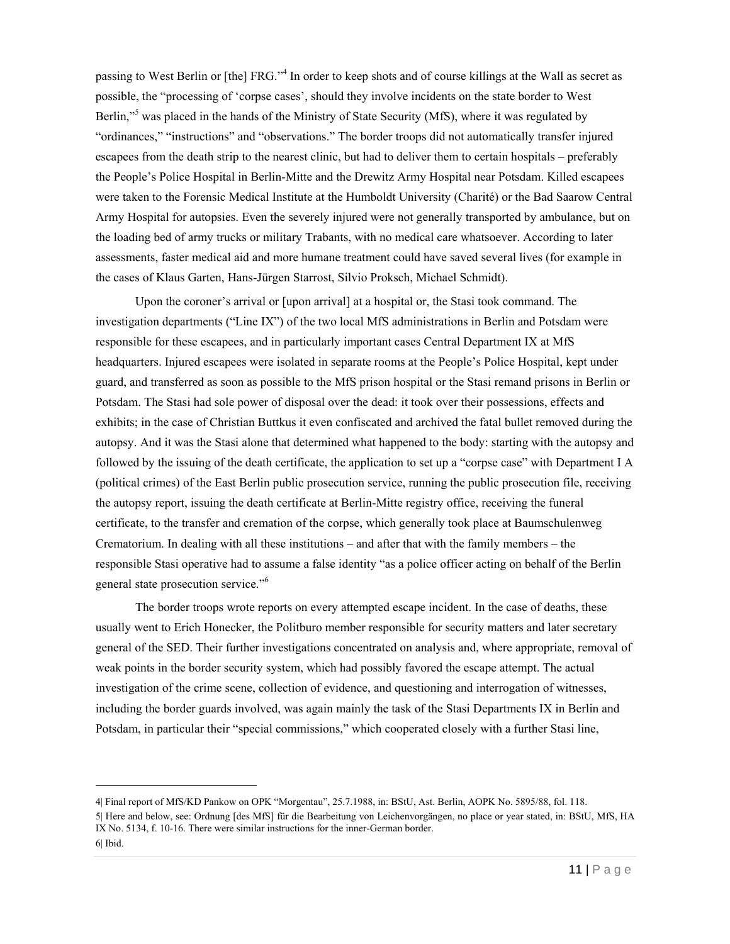passing to West Berlin or [the] FRG."<sup>4</sup> In order to keep shots and of course killings at the Wall as secret as possible, the "processing of 'corpse cases', should they involve incidents on the state border to West Berlin,"<sup>5</sup> was placed in the hands of the Ministry of State Security (MfS), where it was regulated by "ordinances," "instructions" and "observations." The border troops did not automatically transfer injured escapees from the death strip to the nearest clinic, but had to deliver them to certain hospitals – preferably the People's Police Hospital in Berlin-Mitte and the Drewitz Army Hospital near Potsdam. Killed escapees were taken to the Forensic Medical Institute at the Humboldt University (Charité) or the Bad Saarow Central Army Hospital for autopsies. Even the severely injured were not generally transported by ambulance, but on the loading bed of army trucks or military Trabants, with no medical care whatsoever. According to later assessments, faster medical aid and more humane treatment could have saved several lives (for example in the cases of Klaus Garten, Hans-Jürgen Starrost, Silvio Proksch, Michael Schmidt).

Upon the coroner's arrival or [upon arrival] at a hospital or, the Stasi took command. The investigation departments ("Line IX") of the two local MfS administrations in Berlin and Potsdam were responsible for these escapees, and in particularly important cases Central Department IX at MfS headquarters. Injured escapees were isolated in separate rooms at the People's Police Hospital, kept under guard, and transferred as soon as possible to the MfS prison hospital or the Stasi remand prisons in Berlin or Potsdam. The Stasi had sole power of disposal over the dead: it took over their possessions, effects and exhibits; in the case of Christian Buttkus it even confiscated and archived the fatal bullet removed during the autopsy. And it was the Stasi alone that determined what happened to the body: starting with the autopsy and followed by the issuing of the death certificate, the application to set up a "corpse case" with Department I A (political crimes) of the East Berlin public prosecution service, running the public prosecution file, receiving the autopsy report, issuing the death certificate at Berlin-Mitte registry office, receiving the funeral certificate, to the transfer and cremation of the corpse, which generally took place at Baumschulenweg Crematorium. In dealing with all these institutions – and after that with the family members – the responsible Stasi operative had to assume a false identity "as a police officer acting on behalf of the Berlin general state prosecution service."6

The border troops wrote reports on every attempted escape incident. In the case of deaths, these usually went to Erich Honecker, the Politburo member responsible for security matters and later secretary general of the SED. Their further investigations concentrated on analysis and, where appropriate, removal of weak points in the border security system, which had possibly favored the escape attempt. The actual investigation of the crime scene, collection of evidence, and questioning and interrogation of witnesses, including the border guards involved, was again mainly the task of the Stasi Departments IX in Berlin and Potsdam, in particular their "special commissions," which cooperated closely with a further Stasi line,

 $\overline{a}$ 

<sup>4|</sup> Final report of MfS/KD Pankow on OPK "Morgentau", 25.7.1988, in: BStU, Ast. Berlin, AOPK No. 5895/88, fol. 118.

<sup>5|</sup> Here and below, see: Ordnung [des MfS] für die Bearbeitung von Leichenvorgängen, no place or year stated, in: BStU, MfS, HA IX No. 5134, f. 10-16. There were similar instructions for the inner-German border. 6| Ibid.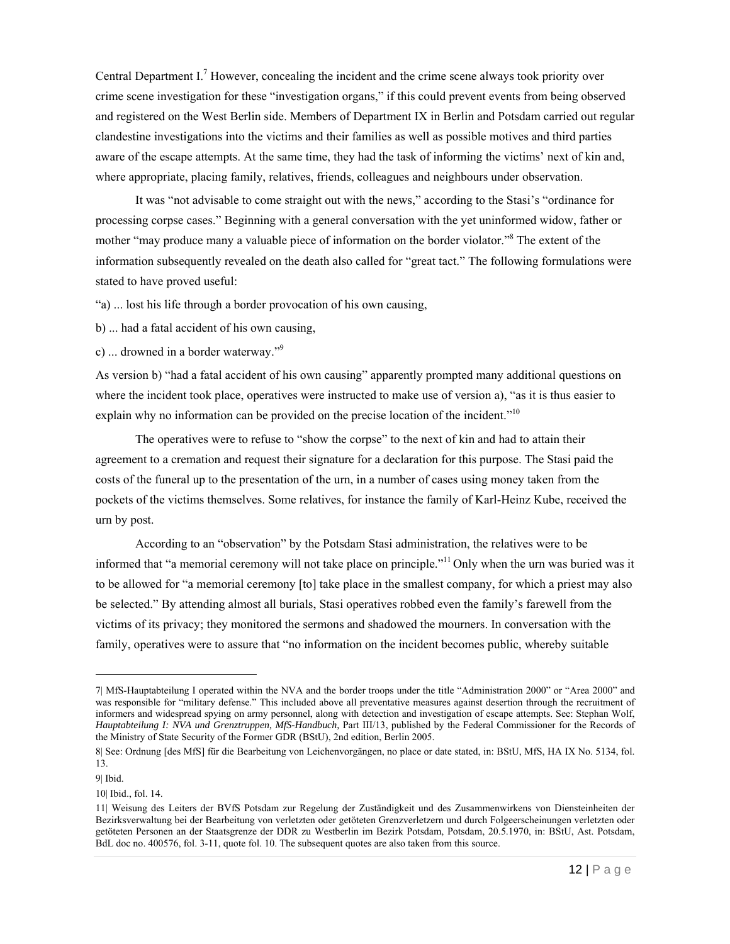Central Department I.<sup>7</sup> However, concealing the incident and the crime scene always took priority over crime scene investigation for these "investigation organs," if this could prevent events from being observed and registered on the West Berlin side. Members of Department IX in Berlin and Potsdam carried out regular clandestine investigations into the victims and their families as well as possible motives and third parties aware of the escape attempts. At the same time, they had the task of informing the victims' next of kin and, where appropriate, placing family, relatives, friends, colleagues and neighbours under observation.

It was "not advisable to come straight out with the news," according to the Stasi's "ordinance for processing corpse cases." Beginning with a general conversation with the yet uninformed widow, father or mother "may produce many a valuable piece of information on the border violator."<sup>8</sup> The extent of the information subsequently revealed on the death also called for "great tact." The following formulations were stated to have proved useful:

"a) ... lost his life through a border provocation of his own causing,

b) ... had a fatal accident of his own causing,

c) ... drowned in a border waterway."9

As version b) "had a fatal accident of his own causing" apparently prompted many additional questions on where the incident took place, operatives were instructed to make use of version a), "as it is thus easier to explain why no information can be provided on the precise location of the incident."<sup>10</sup>

The operatives were to refuse to "show the corpse" to the next of kin and had to attain their agreement to a cremation and request their signature for a declaration for this purpose. The Stasi paid the costs of the funeral up to the presentation of the urn, in a number of cases using money taken from the pockets of the victims themselves. Some relatives, for instance the family of Karl-Heinz Kube, received the urn by post.

According to an "observation" by the Potsdam Stasi administration, the relatives were to be informed that "a memorial ceremony will not take place on principle."11 Only when the urn was buried was it to be allowed for "a memorial ceremony [to] take place in the smallest company, for which a priest may also be selected." By attending almost all burials, Stasi operatives robbed even the family's farewell from the victims of its privacy; they monitored the sermons and shadowed the mourners. In conversation with the family, operatives were to assure that "no information on the incident becomes public, whereby suitable

 $\overline{a}$ 

<sup>7|</sup> MfS-Hauptabteilung I operated within the NVA and the border troops under the title "Administration 2000" or "Area 2000" and was responsible for "military defense." This included above all preventative measures against desertion through the recruitment of informers and widespread spying on army personnel, along with detection and investigation of escape attempts. See: Stephan Wolf, *Hauptabteilung I: NVA und Grenztruppen, MfS-Handbuch,* Part III/13, published by the Federal Commissioner for the Records of the Ministry of State Security of the Former GDR (BStU), 2nd edition, Berlin 2005.

<sup>8|</sup> See: Ordnung [des MfS] für die Bearbeitung von Leichenvorgängen, no place or date stated, in: BStU, MfS, HA IX No. 5134, fol. 13.

<sup>9|</sup> Ibid.

<sup>10|</sup> Ibid., fol. 14.

<sup>11|</sup> Weisung des Leiters der BVfS Potsdam zur Regelung der Zuständigkeit und des Zusammenwirkens von Diensteinheiten der Bezirksverwaltung bei der Bearbeitung von verletzten oder getöteten Grenzverletzern und durch Folgeerscheinungen verletzten oder getöteten Personen an der Staatsgrenze der DDR zu Westberlin im Bezirk Potsdam, Potsdam, 20.5.1970, in: BStU, Ast. Potsdam, BdL doc no. 400576, fol. 3-11, quote fol. 10. The subsequent quotes are also taken from this source.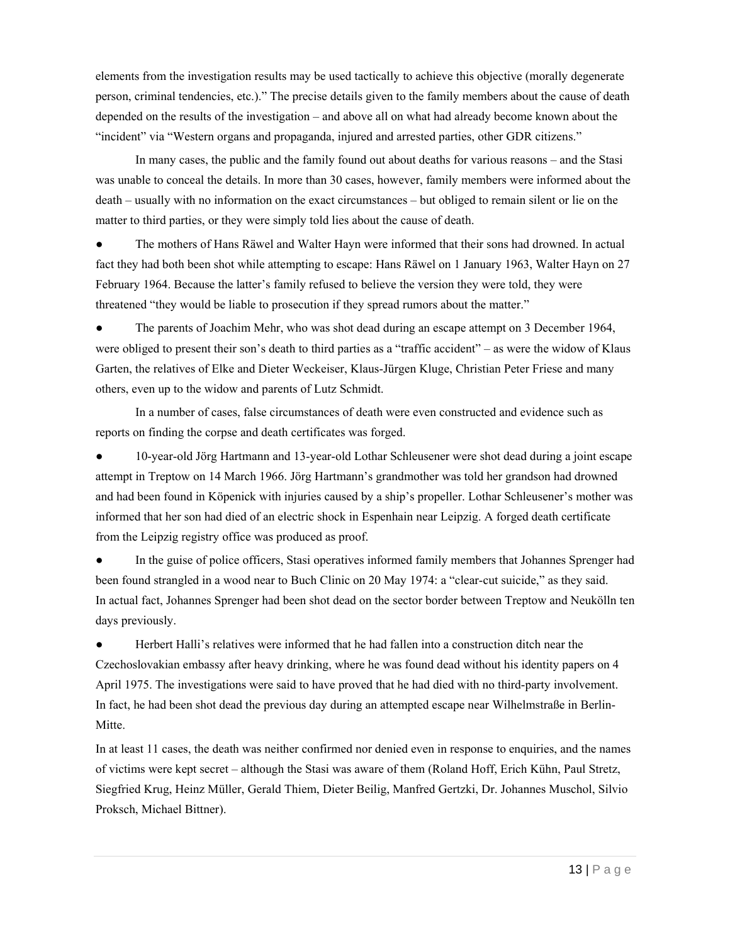elements from the investigation results may be used tactically to achieve this objective (morally degenerate person, criminal tendencies, etc.)." The precise details given to the family members about the cause of death depended on the results of the investigation – and above all on what had already become known about the "incident" via "Western organs and propaganda, injured and arrested parties, other GDR citizens."

In many cases, the public and the family found out about deaths for various reasons – and the Stasi was unable to conceal the details. In more than 30 cases, however, family members were informed about the death – usually with no information on the exact circumstances – but obliged to remain silent or lie on the matter to third parties, or they were simply told lies about the cause of death.

The mothers of Hans Räwel and Walter Hayn were informed that their sons had drowned. In actual fact they had both been shot while attempting to escape: Hans Räwel on 1 January 1963, Walter Hayn on 27 February 1964. Because the latter's family refused to believe the version they were told, they were threatened "they would be liable to prosecution if they spread rumors about the matter."

The parents of Joachim Mehr, who was shot dead during an escape attempt on 3 December 1964, were obliged to present their son's death to third parties as a "traffic accident" – as were the widow of Klaus Garten, the relatives of Elke and Dieter Weckeiser, Klaus-Jürgen Kluge, Christian Peter Friese and many others, even up to the widow and parents of Lutz Schmidt.

In a number of cases, false circumstances of death were even constructed and evidence such as reports on finding the corpse and death certificates was forged.

10-year-old Jörg Hartmann and 13-year-old Lothar Schleusener were shot dead during a joint escape attempt in Treptow on 14 March 1966. Jörg Hartmann's grandmother was told her grandson had drowned and had been found in Köpenick with injuries caused by a ship's propeller. Lothar Schleusener's mother was informed that her son had died of an electric shock in Espenhain near Leipzig. A forged death certificate from the Leipzig registry office was produced as proof.

In the guise of police officers, Stasi operatives informed family members that Johannes Sprenger had been found strangled in a wood near to Buch Clinic on 20 May 1974: a "clear-cut suicide," as they said. In actual fact, Johannes Sprenger had been shot dead on the sector border between Treptow and Neukölln ten days previously.

Herbert Halli's relatives were informed that he had fallen into a construction ditch near the Czechoslovakian embassy after heavy drinking, where he was found dead without his identity papers on 4 April 1975. The investigations were said to have proved that he had died with no third-party involvement. In fact, he had been shot dead the previous day during an attempted escape near Wilhelmstraße in Berlin-Mitte.

In at least 11 cases, the death was neither confirmed nor denied even in response to enquiries, and the names of victims were kept secret – although the Stasi was aware of them (Roland Hoff, Erich Kühn, Paul Stretz, Siegfried Krug, Heinz Müller, Gerald Thiem, Dieter Beilig, Manfred Gertzki, Dr. Johannes Muschol, Silvio Proksch, Michael Bittner).